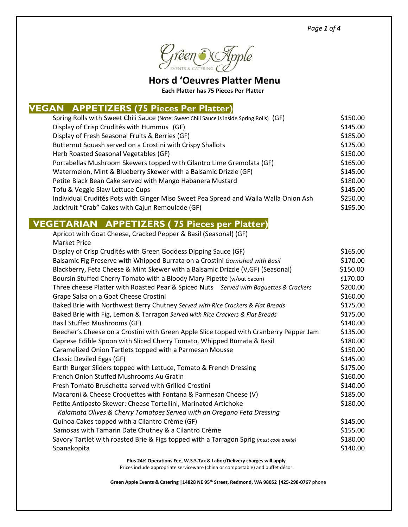*Page 1 of 4*



**Hors d 'Oeuvres Platter Menu**

 **Each Platter has 75 Pieces Per Platter**

#### **VEGAN APPETIZERS (75 Pieces Per Platter)**

| Spring Rolls with Sweet Chili Sauce (Note: Sweet Chili Sauce is inside Spring Rolls) (GF) | \$150.00 |
|-------------------------------------------------------------------------------------------|----------|
| Display of Crisp Crudités with Hummus (GF)                                                | \$145.00 |
| Display of Fresh Seasonal Fruits & Berries (GF)                                           | \$185.00 |
| Butternut Squash served on a Crostini with Crispy Shallots                                | \$125.00 |
| Herb Roasted Seasonal Vegetables (GF)                                                     | \$150.00 |
| Portabellas Mushroom Skewers topped with Cilantro Lime Gremolata (GF)                     | \$165.00 |
| Watermelon, Mint & Blueberry Skewer with a Balsamic Drizzle (GF)                          | \$145.00 |
| Petite Black Bean Cake served with Mango Habanera Mustard                                 | \$180.00 |
| Tofu & Veggie Slaw Lettuce Cups                                                           | \$145.00 |
| Individual Crudités Pots with Ginger Miso Sweet Pea Spread and Walla Walla Onion Ash      | \$250.00 |
| Jackfruit "Crab" Cakes with Cajun Remoulade (GF)                                          | \$195.00 |
|                                                                                           |          |

## **VEGETARIAN APPETIZERS ( 75 Pieces per Platter)**

| Apricot with Goat Cheese, Cracked Pepper & Basil (Seasonal) (GF)                        |          |
|-----------------------------------------------------------------------------------------|----------|
| <b>Market Price</b>                                                                     |          |
| Display of Crisp Crudités with Green Goddess Dipping Sauce (GF)                         | \$165.00 |
| Balsamic Fig Preserve with Whipped Burrata on a Crostini Garnished with Basil           | \$170.00 |
| Blackberry, Feta Cheese & Mint Skewer with a Balsamic Drizzle (V, GF) (Seasonal)        | \$150.00 |
| Boursin Stuffed Cherry Tomato with a Bloody Mary Pipette (w/out bacon)                  | \$170.00 |
| Three cheese Platter with Roasted Pear & Spiced Nuts Served with Baguettes & Crackers   | \$200.00 |
| Grape Salsa on a Goat Cheese Crostini                                                   | \$160.00 |
| Baked Brie with Northwest Berry Chutney Served with Rice Crackers & Flat Breads         | \$175.00 |
| Baked Brie with Fig, Lemon & Tarragon Served with Rice Crackers & Flat Breads           | \$175.00 |
| <b>Basil Stuffed Mushrooms (GF)</b>                                                     | \$140.00 |
| Beecher's Cheese on a Crostini with Green Apple Slice topped with Cranberry Pepper Jam  | \$135.00 |
| Caprese Edible Spoon with Sliced Cherry Tomato, Whipped Burrata & Basil                 | \$180.00 |
| Caramelized Onion Tartlets topped with a Parmesan Mousse                                | \$150.00 |
| <b>Classic Deviled Eggs (GF)</b>                                                        | \$145.00 |
| Earth Burger Sliders topped with Lettuce, Tomato & French Dressing                      | \$175.00 |
| French Onion Stuffed Mushrooms Au Gratin                                                | \$160.00 |
| Fresh Tomato Bruschetta served with Grilled Crostini                                    | \$140.00 |
| Macaroni & Cheese Croquettes with Fontana & Parmesan Cheese (V)                         | \$185.00 |
| Petite Antipasto Skewer: Cheese Tortellini, Marinated Artichoke                         | \$180.00 |
| Kalamata Olives & Cherry Tomatoes Served with an Oregano Feta Dressing                  |          |
| Quinoa Cakes topped with a Cilantro Crème (GF)                                          | \$145.00 |
| Samosas with Tamarin Date Chutney & a Cilantro Crème                                    | \$155.00 |
| Savory Tartlet with roasted Brie & Figs topped with a Tarragon Sprig (must cook onsite) | \$180.00 |
| Spanakopita                                                                             | \$140.00 |
|                                                                                         |          |

**Plus 24% Operations Fee, W.S.S.Tax & Labor/Delivery charges will apply**

Prices include appropriate serviceware (china or compostable) and buffet décor.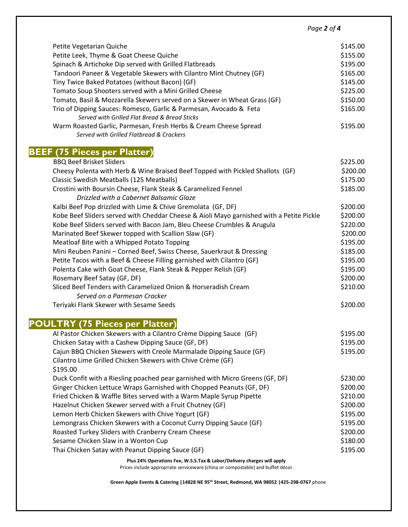*Page 2 of 4*

| Petite Vegetarian Quiche<br>Petite Leek, Thyme & Goat Cheese Quiche<br>Spinach & Artichoke Dip served with Grilled Flatbreads<br>Tandoori Paneer & Vegetable Skewers with Cilantro Mint Chutney (GF)<br>Tiny Twice Baked Potatoes (without Bacon) (GF)<br>Tomato Soup Shooters served with a Mini Grilled Cheese<br>Tomato, Basil & Mozzarella Skewers served on a Skewer in Wheat Grass (GF)<br>Trio of Dipping Sauces: Romesco, Garlic & Parmesan, Avocado & Feta<br>Served with Grilled Flat Bread & Bread Sticks<br>Warm Roasted Garlic, Parmesan, Fresh Herbs & Cream Cheese Spread<br>Served with Grilled Flatbread & Crackers | \$145.00<br>\$155.00<br>\$195.00<br>\$165.00<br>\$145.00<br>\$225.00<br>\$150.00<br>\$165.00<br>\$195.00 |
|--------------------------------------------------------------------------------------------------------------------------------------------------------------------------------------------------------------------------------------------------------------------------------------------------------------------------------------------------------------------------------------------------------------------------------------------------------------------------------------------------------------------------------------------------------------------------------------------------------------------------------------|----------------------------------------------------------------------------------------------------------|
| <b>BEEF (75 Pieces per Platter)</b>                                                                                                                                                                                                                                                                                                                                                                                                                                                                                                                                                                                                  |                                                                                                          |
| <b>BBQ Beef Brisket Sliders</b>                                                                                                                                                                                                                                                                                                                                                                                                                                                                                                                                                                                                      | \$225.00                                                                                                 |
| Cheesy Polenta with Herb & Wine Braised Beef Topped with Pickled Shallots (GF)                                                                                                                                                                                                                                                                                                                                                                                                                                                                                                                                                       | \$200.00                                                                                                 |
| Classic Swedish Meatballs (125 Meatballs)                                                                                                                                                                                                                                                                                                                                                                                                                                                                                                                                                                                            | \$175.00                                                                                                 |
| Crostini with Boursin Cheese, Flank Steak & Caramelized Fennel                                                                                                                                                                                                                                                                                                                                                                                                                                                                                                                                                                       | \$185.00                                                                                                 |
| Drizzled with a Cabernet Balsamic Glaze                                                                                                                                                                                                                                                                                                                                                                                                                                                                                                                                                                                              |                                                                                                          |
| Kalbi Beef Pop drizzled with Lime & Chive Gremolata (GF, DF)<br>Kobe Beef Sliders served with Cheddar Cheese & Aioli Mayo garnished with a Petite Pickle                                                                                                                                                                                                                                                                                                                                                                                                                                                                             | \$200.00<br>\$200.00                                                                                     |
| Kobe Beef Sliders served with Bacon Jam, Bleu Cheese Crumbles & Arugula                                                                                                                                                                                                                                                                                                                                                                                                                                                                                                                                                              | \$220.00                                                                                                 |
| Marinated Beef Skewer topped with Scallion Slaw (GF)                                                                                                                                                                                                                                                                                                                                                                                                                                                                                                                                                                                 | \$200.00                                                                                                 |
| Meatloaf Bite with a Whipped Potato Topping                                                                                                                                                                                                                                                                                                                                                                                                                                                                                                                                                                                          | \$195.00                                                                                                 |
| Mini Reuben Panini - Corned Beef, Swiss Cheese, Sauerkraut & Dressing                                                                                                                                                                                                                                                                                                                                                                                                                                                                                                                                                                | \$185.00                                                                                                 |
| Petite Tacos with a Beef & Cheese Filling garnished with Cilantro (GF)                                                                                                                                                                                                                                                                                                                                                                                                                                                                                                                                                               | \$195.00                                                                                                 |
| Polenta Cake with Goat Cheese, Flank Steak & Pepper Relish (GF)                                                                                                                                                                                                                                                                                                                                                                                                                                                                                                                                                                      | \$195.00                                                                                                 |
| Rosemary Beef Satay (GF, DF)                                                                                                                                                                                                                                                                                                                                                                                                                                                                                                                                                                                                         | \$200.00                                                                                                 |
| Sliced Beef Tenders with Caramelized Onion & Horseradish Cream                                                                                                                                                                                                                                                                                                                                                                                                                                                                                                                                                                       | \$210.00                                                                                                 |
| Served on a Parmesan Cracker                                                                                                                                                                                                                                                                                                                                                                                                                                                                                                                                                                                                         |                                                                                                          |
| Teriyaki Flank Skewer with Sesame Seeds                                                                                                                                                                                                                                                                                                                                                                                                                                                                                                                                                                                              | \$200.00                                                                                                 |
| <b>POULTRY (75 Pieces per Platter)</b>                                                                                                                                                                                                                                                                                                                                                                                                                                                                                                                                                                                               |                                                                                                          |
| Al Pastor Chicken Skewers with a Cilantro Crème Dipping Sauce (GF)                                                                                                                                                                                                                                                                                                                                                                                                                                                                                                                                                                   | \$195.00                                                                                                 |
| Chicken Satay with a Cashew Dipping Sauce (GF, DF)                                                                                                                                                                                                                                                                                                                                                                                                                                                                                                                                                                                   | \$195.00                                                                                                 |
| Cajun BBQ Chicken Skewers with Creole Marmalade Dipping Sauce (GF)                                                                                                                                                                                                                                                                                                                                                                                                                                                                                                                                                                   | \$195.00                                                                                                 |
| Cilantro Lime Grilled Chicken Skewers with Chive Crème (GF)<br>\$195.00                                                                                                                                                                                                                                                                                                                                                                                                                                                                                                                                                              |                                                                                                          |
| Duck Confit with a Riesling poached pear garnished with Micro Greens (GF, DF)                                                                                                                                                                                                                                                                                                                                                                                                                                                                                                                                                        | \$230.00                                                                                                 |
| Ginger Chicken Lettuce Wraps Garnished with Chopped Peanuts (GF, DF)                                                                                                                                                                                                                                                                                                                                                                                                                                                                                                                                                                 | \$200.00                                                                                                 |
| Fried Chicken & Waffle Bites served with a Warm Maple Syrup Pipette                                                                                                                                                                                                                                                                                                                                                                                                                                                                                                                                                                  | \$210.00                                                                                                 |
| Hazelnut Chicken Skewer served with a Fruit Chutney (GF)                                                                                                                                                                                                                                                                                                                                                                                                                                                                                                                                                                             | \$200.00                                                                                                 |
| Lemon Herb Chicken Skewers with Chive Yogurt (GF)                                                                                                                                                                                                                                                                                                                                                                                                                                                                                                                                                                                    | \$195.00                                                                                                 |
| Lemongrass Chicken Skewers with a Coconut Curry Dipping Sauce (GF)                                                                                                                                                                                                                                                                                                                                                                                                                                                                                                                                                                   | \$195.00                                                                                                 |
| Roasted Turkey Sliders with Cranberry Cream Cheese                                                                                                                                                                                                                                                                                                                                                                                                                                                                                                                                                                                   | \$200.00                                                                                                 |
| Sesame Chicken Slaw in a Wonton Cup                                                                                                                                                                                                                                                                                                                                                                                                                                                                                                                                                                                                  | \$180.00                                                                                                 |
| Thai Chicken Satay with Peanut Dipping Sauce (GF)                                                                                                                                                                                                                                                                                                                                                                                                                                                                                                                                                                                    | \$195.00                                                                                                 |

**Plus 24% Operations Fee, W.S.S.Tax & Labor/Delivery charges will apply**

Prices include appropriate serviceware (china or compostable) and buffet décor.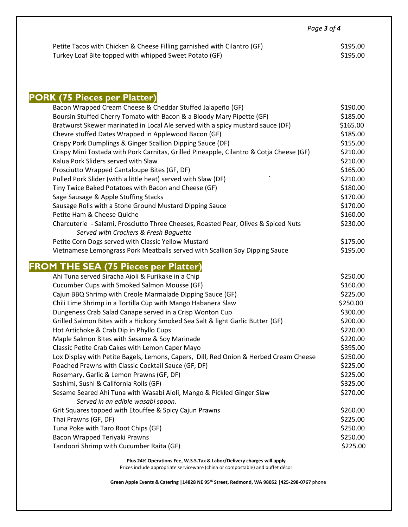|                                                                         | Page <b>3</b> of <b>4</b> |  |
|-------------------------------------------------------------------------|---------------------------|--|
| Petite Tacos with Chicken & Cheese Filling garnished with Cilantro (GF) | \$195.00                  |  |
| Turkey Loaf Bite topped with whipped Sweet Potato (GF)                  | \$195.00                  |  |

# **PORK (75 Pieces per Platter)**

| Bacon Wrapped Cream Cheese & Cheddar Stuffed Jalapeño (GF)                              | \$190.00 |
|-----------------------------------------------------------------------------------------|----------|
| Boursin Stuffed Cherry Tomato with Bacon & a Bloody Mary Pipette (GF)                   | \$185.00 |
| Bratwurst Skewer marinated in Local Ale served with a spicy mustard sauce (DF)          | \$165.00 |
| Chevre stuffed Dates Wrapped in Applewood Bacon (GF)                                    | \$185.00 |
| Crispy Pork Dumplings & Ginger Scallion Dipping Sauce (DF)                              | \$155.00 |
| Crispy Mini Tostada with Pork Carnitas, Grilled Pineapple, Cilantro & Cotja Cheese (GF) | \$210.00 |
| Kalua Pork Sliders served with Slaw                                                     | \$210.00 |
| Prosciutto Wrapped Cantaloupe Bites (GF, DF)                                            | \$165.00 |
| Pulled Pork Slider (with a little heat) served with Slaw (DF)                           | \$210.00 |
| Tiny Twice Baked Potatoes with Bacon and Cheese (GF)                                    | \$180.00 |
| Sage Sausage & Apple Stuffing Stacks                                                    | \$170.00 |
| Sausage Rolls with a Stone Ground Mustard Dipping Sauce                                 | \$170.00 |
| Petite Ham & Cheese Quiche                                                              | \$160.00 |
| Charcuterie - Salami, Prosciutto Three Cheeses, Roasted Pear, Olives & Spiced Nuts      | \$230.00 |
| Served with Crackers & Fresh Baguette                                                   |          |
| Petite Corn Dogs served with Classic Yellow Mustard                                     | \$175.00 |
| Vietnamese Lemongrass Pork Meatballs served with Scallion Soy Dipping Sauce             | \$195.00 |
| <b>FROM THE SEA (75 Pieces per Platter)</b>                                             |          |
| Ahi Tuna served Siracha Aioli & Furikake in a Chip                                      | \$250.00 |
| Cucumber Cups with Smoked Salmon Mousse (GF)                                            | \$160.00 |
| Cajun BBQ Shrimp with Creole Marmalade Dipping Sauce (GF)                               | \$225.00 |
| Chili Lime Shrimp in a Tortilla Cup with Mango Habanera Slaw                            | \$250.00 |
| Dungeness Crab Salad Canape served in a Crisp Wonton Cup                                | \$300.00 |
| Grilled Salmon Bites with a Hickory Smoked Sea Salt & light Garlic Butter (GF)          | \$200.00 |
| Hot Artichoke & Crab Dip in Phyllo Cups                                                 | \$220.00 |
| Maple Salmon Bites with Sesame & Soy Marinade                                           | \$220.00 |
| Classic Petite Crab Cakes with Lemon Caper Mayo                                         | \$395.00 |
| Lox Display with Petite Bagels, Lemons, Capers, Dill, Red Onion & Herbed Cream Cheese   | \$250.00 |
| Poached Prawns with Classic Cocktail Sauce (GF, DF)                                     | \$225.00 |
| Rosemary, Garlic & Lemon Prawns (GF, DF)                                                | \$225.00 |
| Sashimi, Sushi & California Rolls (GF)                                                  | \$325.00 |
| Sesame Seared Ahi Tuna with Wasabi Aioli, Mango & Pickled Ginger Slaw                   | \$270.00 |
| Served in an edible wasabi spoon.                                                       |          |
| Grit Squares topped with Etouffee & Spicy Cajun Prawns                                  | \$260.00 |
| Thai Prawns (GF, DF)                                                                    | \$225.00 |
| Tuna Poke with Taro Root Chips (GF)                                                     | \$250.00 |
| Bacon Wrapped Teriyaki Prawns                                                           | \$250.00 |
| Tandoori Shrimp with Cucumber Raita (GF)                                                | \$225.00 |

**Plus 24% Operations Fee, W.S.S.Tax & Labor/Delivery charges will apply**

Prices include appropriate serviceware (china or compostable) and buffet décor.